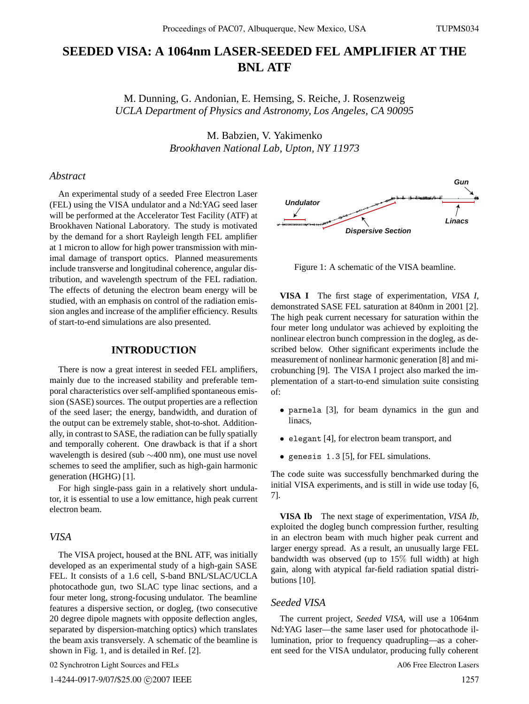# **SEEDED VISA: A 1064nm LASER-SEEDED FEL AMPLIFIER AT THE BNL ATF**

M. Dunning, G. Andonian, E. Hemsing, S. Reiche, J. Rosenzweig *UCLA Department of Physics and Astronomy, Los Angeles, CA 90095*

> M. Babzien, V. Yakimenko *Brookhaven National Lab, Upton, NY 11973*

## *Abstract*

An experimental study of a seeded Free Electron Laser (FEL) using the VISA undulator and a Nd:YAG seed laser will be performed at the Accelerator Test Facility (ATF) at Brookhaven National Laboratory. The study is motivated by the demand for a short Rayleigh length FEL amplifier at 1 micron to allow for high power transmission with minimal damage of transport optics. Planned measurements include transverse and longitudinal coherence, angular distribution, and wavelength spectrum of the FEL radiation. The effects of detuning the electron beam energy will be studied, with an emphasis on control of the radiation emission angles and increase of the amplifier efficiency. Results of start-to-end simulations are also presented.

### **INTRODUCTION**

There is now a great interest in seeded FEL amplifiers, mainly due to the increased stability and preferable temporal characteristics over self-amplified spontaneous emission (SASE) sources. The output properties are a reflection of the seed laser; the energy, bandwidth, and duration of the output can be extremely stable, shot-to-shot. Additionally, in contrast to SASE, the radiation can be fully spatially and temporally coherent. One drawback is that if a short wavelength is desired (sub ∼400 nm), one must use novel schemes to seed the amplifier, such as high-gain harmonic generation (HGHG) [1].

For high single-pass gain in a relatively short undulator, it is essential to use a low emittance, high peak current electron beam.

#### *VISA*

The VISA project, housed at the BNL ATF, was initially developed as an experimental study of a high-gain SASE FEL. It consists of a 1.6 cell, S-band BNL/SLAC/UCLA photocathode gun, two SLAC type linac sections, and a four meter long, strong-focusing undulator. The beamline features a dispersive section, or dogleg, (two consecutive 20 degree dipole magnets with opposite deflection angles, separated by dispersion-matching optics) which translates the beam axis transversely. A schematic of the beamline is shown in Fig. 1, and is detailed in Ref. [2].

02 Synchrotron Light Sources and FELs



Figure 1: A schematic of the VISA beamline.

**VISA I** The first stage of experimentation, *VISA I*, demonstrated SASE FEL saturation at 840nm in 2001 [2]. The high peak current necessary for saturation within the four meter long undulator was achieved by exploiting the nonlinear electron bunch compression in the dogleg, as described below. Other significant experiments include the measurement of nonlinear harmonic generation [8] and microbunching [9]. The VISA I project also marked the implementation of a start-to-end simulation suite consisting of:

- parmela [3], for beam dynamics in the gun and linacs,
- elegant [4], for electron beam transport, and
- genesis 1.3 [5], for FEL simulations.

The code suite was successfully benchmarked during the initial VISA experiments, and is still in wide use today [6, 7].

**VISA Ib** The next stage of experimentation, *VISA Ib*, exploited the dogleg bunch compression further, resulting in an electron beam with much higher peak current and larger energy spread. As a result, an unusually large FEL bandwidth was observed (up to 15% full width) at high gain, along with atypical far-field radiation spatial distributions [10].

#### *Seeded VISA*

The current project, *Seeded VISA*, will use a 1064nm Nd:YAG laser—the same laser used for photocathode illumination, prior to frequency quadrupling—as a coherent seed for the VISA undulator, producing fully coherent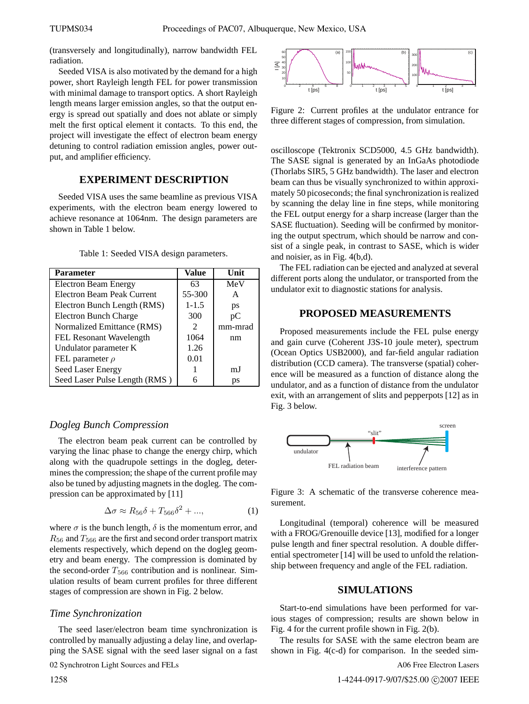(transversely and longitudinally), narrow bandwidth FEL radiation.

Seeded VISA is also motivated by the demand for a high power, short Rayleigh length FEL for power transmission with minimal damage to transport optics. A short Rayleigh length means larger emission angles, so that the output energy is spread out spatially and does not ablate or simply melt the first optical element it contacts. To this end, the project will investigate the effect of electron beam energy detuning to control radiation emission angles, power output, and amplifier efficiency.

#### **EXPERIMENT DESCRIPTION**

Seeded VISA uses the same beamline as previous VISA experiments, with the electron beam energy lowered to achieve resonance at 1064nm. The design parameters are shown in Table 1 below.

Table 1: Seeded VISA design parameters.

| <b>Parameter</b>              | Value                       | Unit    |
|-------------------------------|-----------------------------|---------|
| <b>Electron Beam Energy</b>   | 63                          | MeV     |
| Electron Beam Peak Current    | 55-300                      | A       |
| Electron Bunch Length (RMS)   | $1 - 1.5$                   | ps      |
| <b>Electron Bunch Charge</b>  | 300                         | pС      |
| Normalized Emittance (RMS)    | $\mathcal{D}_{\mathcal{L}}$ | mm-mrad |
| FEL Resonant Wavelength       | 1064                        | nm      |
| Undulator parameter K         | 1.26                        |         |
| FEL parameter $\rho$          | 0.01                        |         |
| Seed Laser Energy             |                             | m.I     |
| Seed Laser Pulse Length (RMS) |                             | ps      |

## *Dogleg Bunch Compression*

The electron beam peak current can be controlled by varying the linac phase to change the energy chirp, which along with the quadrupole settings in the dogleg, determines the compression; the shape of the current profile may also be tuned by adjusting magnets in the dogleg. The compression can be approximated by [11]

$$
\Delta \sigma \approx R_{56}\delta + T_{566}\delta^2 + ..., \qquad (1)
$$

where  $\sigma$  is the bunch length,  $\delta$  is the momentum error, and  $R_{56}$  and  $T_{566}$  are the first and second order transport matrix elements respectively, which depend on the dogleg geometry and beam energy. The compression is dominated by the second-order  $T_{566}$  contribution and is nonlinear. Simulation results of beam current profiles for three different stages of compression are shown in Fig. 2 below.

#### *Time Synchronization*

The seed laser/electron beam time synchronization is controlled by manually adjusting a delay line, and overlapping the SASE signal with the seed laser signal on a fast

02 Synchrotron Light Sources and FELs



Figure 2: Current profiles at the undulator entrance for three different stages of compression, from simulation.

oscilloscope (Tektronix SCD5000, 4.5 GHz bandwidth). The SASE signal is generated by an InGaAs photodiode (Thorlabs SIR5, 5 GHz bandwidth). The laser and electron beam can thus be visually synchronized to within approximately 50 picoseconds; the final synchronization is realized by scanning the delay line in fine steps, while monitoring the FEL output energy for a sharp increase (larger than the SASE fluctuation). Seeding will be confirmed by monitoring the output spectrum, which should be narrow and consist of a single peak, in contrast to SASE, which is wider and noisier, as in Fig. 4(b,d).

The FEL radiation can be ejected and analyzed at several different ports along the undulator, or transported from the undulator exit to diagnostic stations for analysis.

## **PROPOSED MEASUREMENTS**

Proposed measurements include the FEL pulse energy and gain curve (Coherent J3S-10 joule meter), spectrum (Ocean Optics USB2000), and far-field angular radiation distribution (CCD camera). The transverse (spatial) coherence will be measured as a function of distance along the undulator, and as a function of distance from the undulator exit, with an arrangement of slits and pepperpots [12] as in Fig. 3 below.



Figure 3: A schematic of the transverse coherence measurement.

Longitudinal (temporal) coherence will be measured with a FROG/Grenouille device [13], modified for a longer pulse length and finer spectral resolution. A double differential spectrometer [14] will be used to unfold the relationship between frequency and angle of the FEL radiation.

## **SIMULATIONS**

Start-to-end simulations have been performed for various stages of compression; results are shown below in Fig. 4 for the current profile shown in Fig. 2(b).

The results for SASE with the same electron beam are shown in Fig. 4(c-d) for comparison. In the seeded sim-

A06 Free Electron Lasers